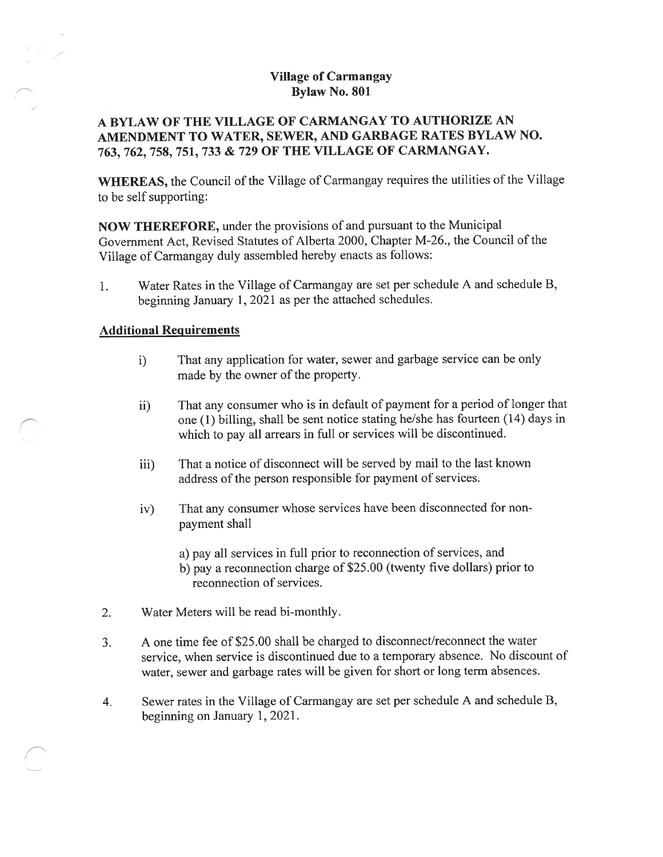# Village of Carmangay Bylaw No. \$01

# A BYLAW OF THE VILLAGE OF CARMANGAY TO AUTHORIZE AN AMENDMENT TO WATER, SEWER, AND GARBAGE RATES BYLAW NO. 763, 762, 75\$, 751, <sup>733</sup> & <sup>729</sup> OF THE VILLAGE OF CARMANGAY.

WHEREAS, the Council of the Village of Carmangay requires the utilities of the Village to be self supporting:

NOW THEREFORE, under the provisions of and pursuan<sup>t</sup> to the Municipal Government Act, Revised Statutes of Alberta 2000, Chapter M-26., the Council of the Village of Carmangay duly assembled hereby enacts as follows:

1. Water Rates in the Village of Carmangay are set per schedule <sup>A</sup> and schedule B, beginning January 1, <sup>2021</sup> as per the attached schedules.

## Additional Requirements

- i) That any application for water, sewer and garbage service can be only made by the owner of the property.
- ii) That any consumer who is in default of paymen<sup>t</sup> for <sup>a</sup> period of longer that one (1) billing, shall be sent notice stating he/she has fourteen (14) days in which to pay all arrears in full or services will be discontinued.
- iii) That <sup>a</sup> notice of disconnect will be served by mail to the last known address of the person responsible for paymen<sup>t</sup> of services.
- iv) That any consumer whose services have been disconnected for non paymen<sup>t</sup> shall
	- a) pay all services in full prior to reconnection of services, and
	- b) pay <sup>a</sup> reconnection charge of \$25.00 (twenty five dollars) prior to reconnection of services.
- 2. Water Meters will be read bi-monthly.
- 3. A one time fee of \$25.00 shall be charged to disconnect/reconnect the water service, when service is discontinued due to <sup>a</sup> temporary absence. No discount of water, sewer and garbage rates will be <sup>g</sup>iven for short or long term absences.
- 4. Sewer rates in the Village of Carmangay are set per schedule <sup>A</sup> and schedule B, beginning on January 1, 2021.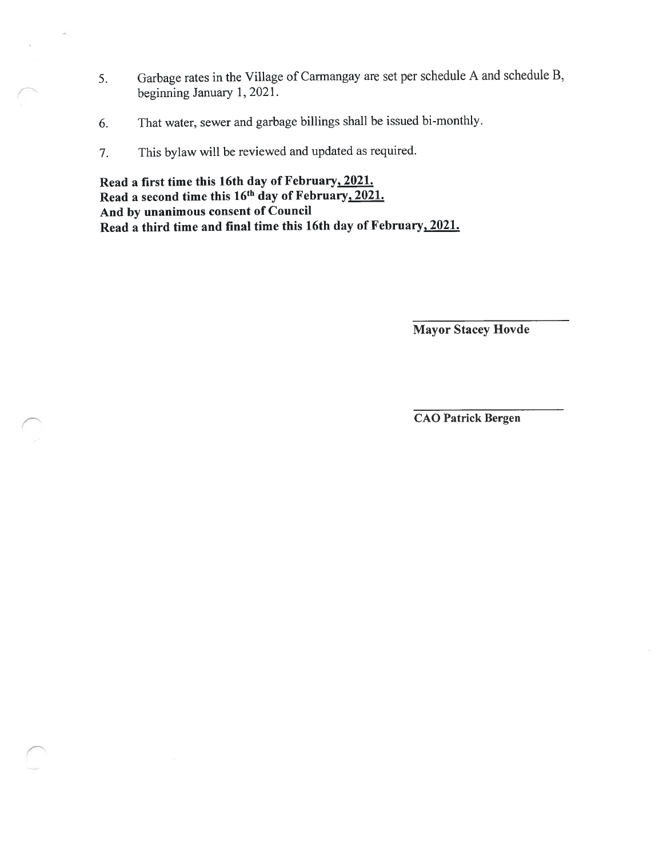- 5. Garbage rates in the Village of Carmangay are set per schedule <sup>A</sup> and schedule B, beginning January 1, 2021.
- 6. That water, sewer and garbage billings shall be issued bi-monthly.
- 7. This bylaw will be reviewed and updated as required.

S

Read <sup>a</sup> first time this 16th day of February, 2021. Read a second time this 16<sup>th</sup> day of February<u>, 2021.</u> And by unanimous consent of Council Read <sup>a</sup> third time and final time this 16th day of February, 2021.

Mayor Stacey Hovde

CAO Patrick Bergen